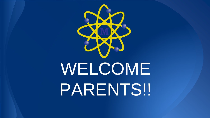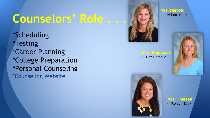## **Counselors' Role . . .**

\*Scheduling \*Testing \*Career Planning \*College Preparation \*Personal Counseling [\\*Counseling Website](https://www.mhs.midlandps.org/2/Content2/counseling-center)



**Mrs. Stepaniak**

• Hitz-Persaud



• Abbott- Hintz



**Mrs. Theisen** • Rersyn-Zook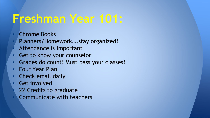## **Freshman Year 101:**

- Chrome Books
- Planners/Homework….stay organized!
- Attendance is important
- Get to know your counselor
- Grades do count! Must pass your classes!
- Four Year Plan
- Check email daily
- Get involved
	- 22 Credits to graduate
- Communicate with teachers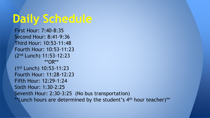## **Daily Schedule**

```
First Hour: 7:40-8:35
Second Hour: 8:41-9:36
Third Hour: 10:53-11:48
Fourth Hour: 10:53-11:23
(2nd Lunch) 11:53-12:23
            **OR**
(1st Lunch) 10:53-11:23
Fourth Hour: 11:28-12:23
Fifth Hour: 12:29-1:24
Sixth Hour: 1:30-2:25
Seventh Hour: 2:30-3:25 (No bus transportation)
**Lunch hours are determined by the student's 4<sup>th</sup> hour teacher)**
```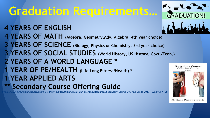## **Graduation Requirements…**

- **4 YEARS OF ENGLISH**
- **4 YEARS OF MATH (Algebra, Geometry,Adv. Algebra, 4th year choice)**
- **3 YEARS OF SCIENCE (Biology, Physics or Chemistry, 3rd year choice)**
- **3 YEARS OF SOCIAL STUDIES (World History, US History, Govt./Econ.)**
- **2 YEARS OF A WORLD LANGUAGE \***
- **1 YEAR OF PE/HEALTH (Life Long Fitness/Health) \***
- **1 YEAR APPLIED ARTS**
- **\*\* Secondary Course Offering Guide**

**[https://www.mhs.midlandps.org/userfiles/4/My%20Files/Midland%20High/Parent%20Resources/Secondary-Course-Offering-Guide-2017-18.pdf?id=1190](https://www.mhs.midlandps.org/userfiles/4/My Files/Midland High/Parent Resources/Secondary-Course-Offering-Guide-2017-18.pdf?id=1190)** 





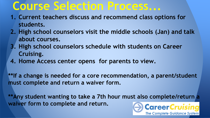#### **Course Selection Process...**

- **1. Current teachers discuss and recommend class options for students.**
- **2. High school counselors visit the middle schools (Jan) and talk about courses.**
- **3. High school counselors schedule with students on Career Cruising.**
- **4. Home Access center opens for parents to view.**

**\*\*If a change is needed for a core recommendation, a parent/student must complete and return a waiver form.**

**\*\*Any student wanting to take a 7th hour must also complete/return a waiver form to complete and return.** 

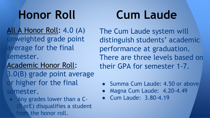All A Honor Roll: 4.0 (A) unweighted grade point erage for the final semester.

Academic Honor Roll:

3.0(B) grade point average or higher for the final semester.

● Any grades lower than a C- **(OrE)** disqualifies a student from the honor roll.

## **Honor Roll Cum Laude**

The Cum Laude system will distinguish students' academic performance at graduation. There are three levels based on their GPA for semester 1-7.

- Summa Cum Laude: 4.50 or above
- Magna Cum Laude: 4.20-4.49
- Cum Laude: 3.80-4.19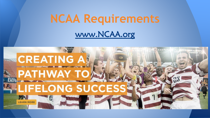## **NCAA Requirements** [www.NCAA.org](http://www.ncaa.org/)

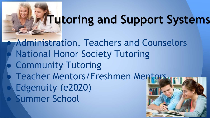# **Tutoring and Support Systems**

**Administration, Teachers and Counselors National Honor Society Tutoring** ● Community Tutoring Teacher Mentors/Freshmen Mentors **Edgenuity (e2020) Summer School**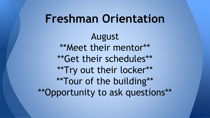#### August \*\*Meet their mentor\*\* \*\*Get their schedules\*\* \*\*Try out their locker\*\* \*\*Tour of the building\*\* \*\*Opportunity to ask questions\*\* **Freshman Orientation**